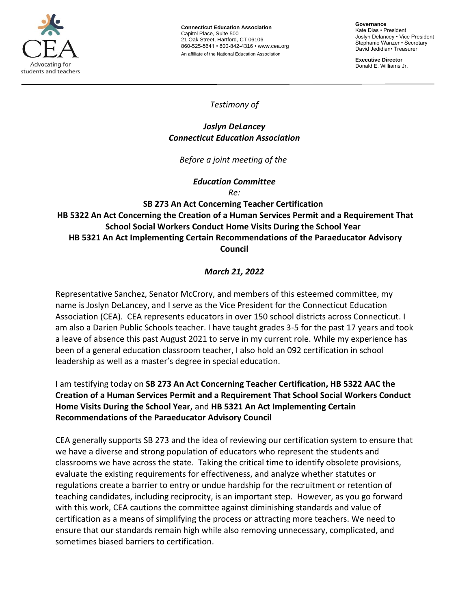

**Connecticut Education Association** Capitol Place, Suite 500 21 Oak Street, Hartford, CT 06106 860-525-5641 • 800-842-4316 • [www.cea.org](http://www.cea.org/) An affiliate of the National Education Association

**Governance** Kate Dias • President Joslyn Delancey • Vice President Stephanie Wanzer • Secretary David Jedidian• Treasurer

**Executive Director**  Donald E. Williams Jr.

*Testimony of*

### *Joslyn DeLancey Connecticut Education Association*

*Before a joint meeting of the*

*Education Committee*

*Re:*

# **SB 273 An Act Concerning Teacher Certification HB 5322 An Act Concerning the Creation of a Human Services Permit and a Requirement That School Social Workers Conduct Home Visits During the School Year HB 5321 An Act Implementing Certain Recommendations of the Paraeducator Advisory Council**

# *March 21, 2022*

Representative Sanchez, Senator McCrory, and members of this esteemed committee, my name is Joslyn DeLancey, and I serve as the Vice President for the Connecticut Education Association (CEA). CEA represents educators in over 150 school districts across Connecticut. I am also a Darien Public Schools teacher. I have taught grades 3-5 for the past 17 years and took a leave of absence this past August 2021 to serve in my current role. While my experience has been of a general education classroom teacher, I also hold an 092 certification in school leadership as well as a master's degree in special education.

I am testifying today on **SB 273 An Act Concerning Teacher Certification, HB 5322 AAC the Creation of a Human Services Permit and a Requirement That School Social Workers Conduct Home Visits During the School Year,** and **HB 5321 An Act Implementing Certain Recommendations of the Paraeducator Advisory Council**

CEA generally supports SB 273 and the idea of reviewing our certification system to ensure that we have a diverse and strong population of educators who represent the students and classrooms we have across the state. Taking the critical time to identify obsolete provisions, evaluate the existing requirements for effectiveness, and analyze whether statutes or regulations create a barrier to entry or undue hardship for the recruitment or retention of teaching candidates, including reciprocity, is an important step. However, as you go forward with this work, CEA cautions the committee against diminishing standards and value of certification as a means of simplifying the process or attracting more teachers. We need to ensure that our standards remain high while also removing unnecessary, complicated, and sometimes biased barriers to certification.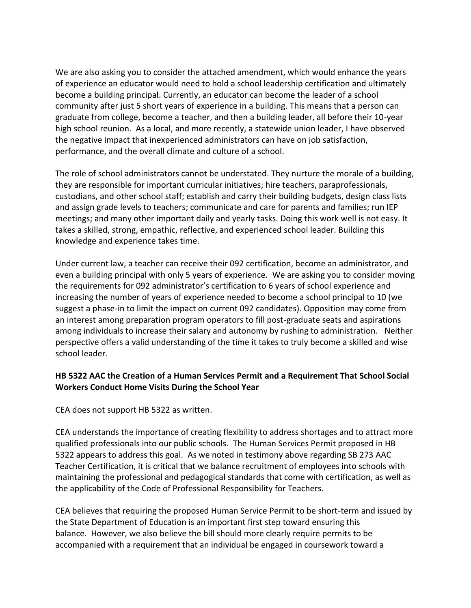We are also asking you to consider the attached amendment, which would enhance the years of experience an educator would need to hold a school leadership certification and ultimately become a building principal. Currently, an educator can become the leader of a school community after just 5 short years of experience in a building. This means that a person can graduate from college, become a teacher, and then a building leader, all before their 10-year high school reunion. As a local, and more recently, a statewide union leader, I have observed the negative impact that inexperienced administrators can have on job satisfaction, performance, and the overall climate and culture of a school.

The role of school administrators cannot be understated. They nurture the morale of a building, they are responsible for important curricular initiatives; hire teachers, paraprofessionals, custodians, and other school staff; establish and carry their building budgets, design class lists and assign grade levels to teachers; communicate and care for parents and families; run IEP meetings; and many other important daily and yearly tasks. Doing this work well is not easy. It takes a skilled, strong, empathic, reflective, and experienced school leader. Building this knowledge and experience takes time.

Under current law, a teacher can receive their 092 certification, become an administrator, and even a building principal with only 5 years of experience. We are asking you to consider moving the requirements for 092 administrator's certification to 6 years of school experience and increasing the number of years of experience needed to become a school principal to 10 (we suggest a phase-in to limit the impact on current 092 candidates). Opposition may come from an interest among preparation program operators to fill post-graduate seats and aspirations among individuals to increase their salary and autonomy by rushing to administration. Neither perspective offers a valid understanding of the time it takes to truly become a skilled and wise school leader.

### **HB 5322 AAC the Creation of a Human Services Permit and a Requirement That School Social Workers Conduct Home Visits During the School Year**

CEA does not support HB 5322 as written.

CEA understands the importance of creating flexibility to address shortages and to attract more qualified professionals into our public schools. The Human Services Permit proposed in HB 5322 appears to address this goal. As we noted in testimony above regarding SB 273 AAC Teacher Certification, it is critical that we balance recruitment of employees into schools with maintaining the professional and pedagogical standards that come with certification, as well as the applicability of the Code of Professional Responsibility for Teachers.

CEA believes that requiring the proposed Human Service Permit to be short-term and issued by the State Department of Education is an important first step toward ensuring this balance. However, we also believe the bill should more clearly require permits to be accompanied with a requirement that an individual be engaged in coursework toward a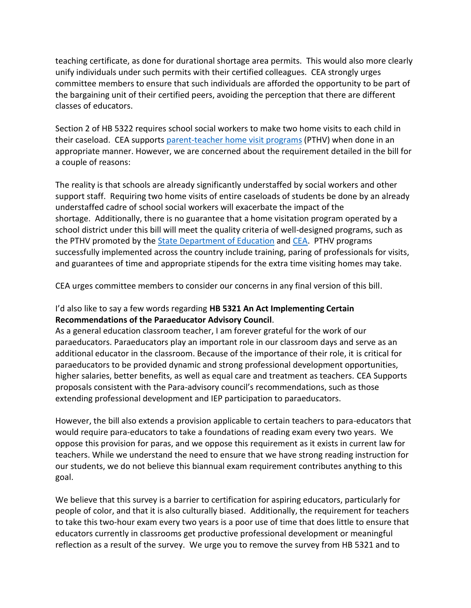teaching certificate, as done for durational shortage area permits. This would also more clearly unify individuals under such permits with their certified colleagues. CEA strongly urges committee members to ensure that such individuals are afforded the opportunity to be part of the bargaining unit of their certified peers, avoiding the perception that there are different classes of educators.

Section 2 of HB 5322 requires school social workers to make two home visits to each child in their caseload. CEA supports [parent-teacher home visit programs](https://www.pthvp.org/what-we-do/pthv-model/) (PTHV) when done in an appropriate manner. However, we are concerned about the requirement detailed in the bill for a couple of reasons:

The reality is that schools are already significantly understaffed by social workers and other support staff. Requiring two home visits of entire caseloads of students be done by an already understaffed cadre of school social workers will exacerbate the impact of the shortage. Additionally, there is no guarantee that a home visitation program operated by a school district under this bill will meet the quality criteria of well-designed programs, such as the PTHV promoted by the [State Department of Education](https://portal.ct.gov/SDE/Publications/Promising-Practices-to-Reduce-Chronic-Absence/Parent-Teacher-Home-Visits) and [CEA.](https://cea.org/wp-content/uploads/2019/10/CEA-Learning-Academy-2019.pdf) PTHV programs successfully implemented across the country include training, paring of professionals for visits, and guarantees of time and appropriate stipends for the extra time visiting homes may take.

CEA urges committee members to consider our concerns in any final version of this bill.

## I'd also like to say a few words regarding **HB 5321 An Act Implementing Certain Recommendations of the Paraeducator Advisory Council**.

As a general education classroom teacher, I am forever grateful for the work of our paraeducators. Paraeducators play an important role in our classroom days and serve as an additional educator in the classroom. Because of the importance of their role, it is critical for paraeducators to be provided dynamic and strong professional development opportunities, higher salaries, better benefits, as well as equal care and treatment as teachers. CEA Supports proposals consistent with the Para-advisory council's recommendations, such as those extending professional development and IEP participation to paraeducators.

However, the bill also extends a provision applicable to certain teachers to para-educators that would require para-educators to take a foundations of reading exam every two years.  We oppose this provision for paras, and we oppose this requirement as it exists in current law for teachers. While we understand the need to ensure that we have strong reading instruction for our students, we do not believe this biannual exam requirement contributes anything to this goal.

We believe that this survey is a barrier to certification for aspiring educators, particularly for people of color, and that it is also culturally biased. Additionally, the requirement for teachers to take this two-hour exam every two years is a poor use of time that does little to ensure that educators currently in classrooms get productive professional development or meaningful reflection as a result of the survey. We urge you to remove the survey from HB 5321 and to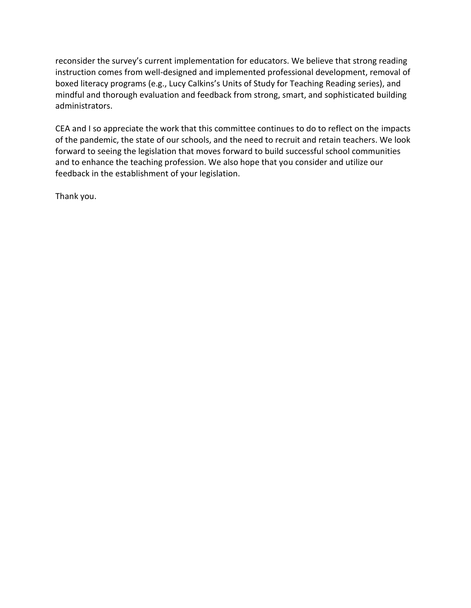reconsider the survey's current implementation for educators. We believe that strong reading instruction comes from well-designed and implemented professional development, removal of boxed literacy programs (e.g., Lucy Calkins's Units of Study for Teaching Reading series), and mindful and thorough evaluation and feedback from strong, smart, and sophisticated building administrators.

CEA and I so appreciate the work that this committee continues to do to reflect on the impacts of the pandemic, the state of our schools, and the need to recruit and retain teachers. We look forward to seeing the legislation that moves forward to build successful school communities and to enhance the teaching profession. We also hope that you consider and utilize our feedback in the establishment of your legislation.

Thank you.